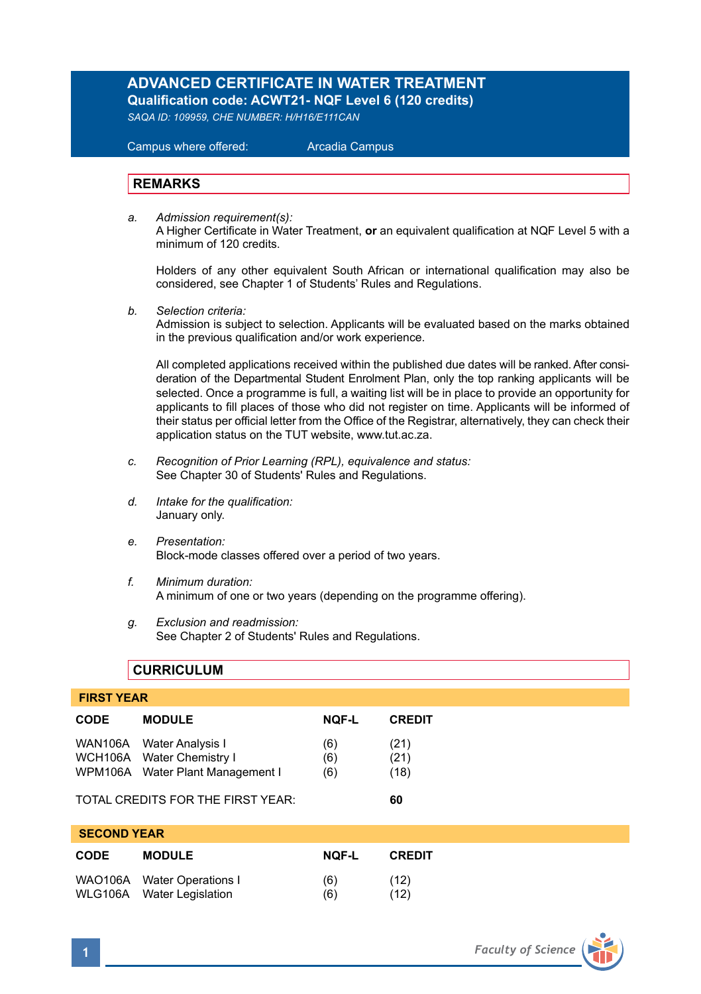# **ADVANCED CERTIFICATE IN WATER TREATMENT Qualification code: ACWT21- NQF Level 6 (120 credits)**

*SAQA ID: 109959, CHE NUMBER: H/H16/E111CAN* 

 Campus where offered: Arcadia Campus

# **REMARKS**

*a. Admission requirement(s):*  A Higher Certificate in Water Treatment, **or** an equivalent qualification at NQF Level 5 with a minimum of 120 credits.

Holders of any other equivalent South African or international qualification may also be considered, see Chapter 1 of Students' Rules and Regulations.

*b. Selection criteria:*

Admission is subject to selection. Applicants will be evaluated based on the marks obtained in the previous qualification and/or work experience.

All completed applications received within the published due dates will be ranked. After consideration of the Departmental Student Enrolment Plan, only the top ranking applicants will be selected. Once a programme is full, a waiting list will be in place to provide an opportunity for applicants to fill places of those who did not register on time. Applicants will be informed of their status per official letter from the Office of the Registrar, alternatively, they can check their application status on the TUT website, www.tut.ac.za.

- *c. Recognition of Prior Learning (RPL), equivalence and status:* See Chapter 30 of Students' Rules and Regulations.
- *d. Intake for the qualification:* January only.
- *e. Presentation:* Block-mode classes offered over a period of two years.
- *f. Minimum duration:* A minimum of one or two years (depending on the programme offering).
- *g. Exclusion and readmission:* See Chapter 2 of Students' Rules and Regulations.

# **CURRICULUM**

| <b>FIRST YEAR</b>         |                                                                                                                        |                   |                            |  |
|---------------------------|------------------------------------------------------------------------------------------------------------------------|-------------------|----------------------------|--|
| <b>CODE</b>               | <b>MODULE</b>                                                                                                          | <b>NOF-L</b>      | <b>CREDIT</b>              |  |
| <b>WAN106A</b>            | Water Analysis I<br>WCH106A Water Chemistry I<br>WPM106A Water Plant Management I<br>TOTAL CREDITS FOR THE FIRST YEAR: | (6)<br>(6)<br>(6) | (21)<br>(21)<br>(18)<br>60 |  |
| <b>SECOND YEAR</b>        |                                                                                                                        |                   |                            |  |
| <b>CODE</b>               | <b>MODULE</b>                                                                                                          | <b>NOF-L</b>      | <b>CREDIT</b>              |  |
| <b>WAO106A</b><br>WLG106A | <b>Water Operations I</b><br><b>Water Legislation</b>                                                                  | (6)<br>(6)        | (12)<br>(12)               |  |

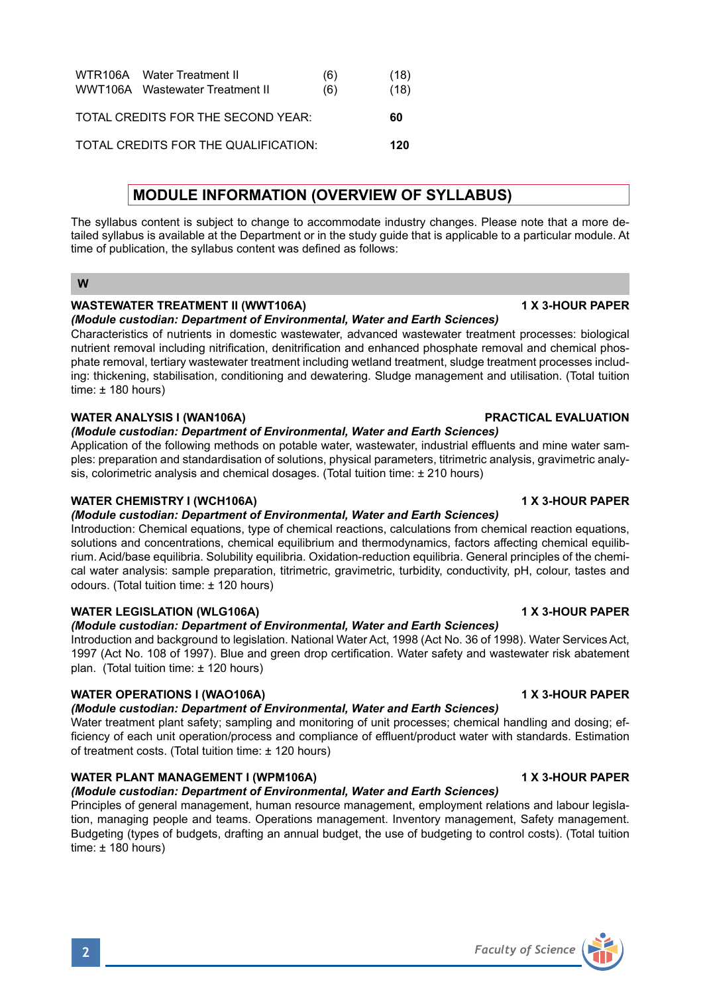| WTR106A Water Treatment II<br>WWT106A Wastewater Treatment II | (6)<br>(6) | (18)<br>(18) |
|---------------------------------------------------------------|------------|--------------|
| TOTAL CREDITS FOR THE SECOND YEAR:                            |            | 60           |
| TOTAL CREDITS FOR THE QUALIFICATION:                          |            | 120          |

# **MODULE INFORMATION (OVERVIEW OF SYLLABUS)**

The syllabus content is subject to change to accommodate industry changes. Please note that a more detailed syllabus is available at the Department or in the study guide that is applicable to a particular module. At time of publication, the syllabus content was defined as follows:

### **W**

# **WASTEWATER TREATMENT II (WWT106A) 1 X 3-HOUR PAPER**

*(Module custodian: Department of Environmental, Water and Earth Sciences)*

Characteristics of nutrients in domestic wastewater, advanced wastewater treatment processes: biological nutrient removal including nitrification, denitrification and enhanced phosphate removal and chemical phosphate removal, tertiary wastewater treatment including wetland treatment, sludge treatment processes including: thickening, stabilisation, conditioning and dewatering. Sludge management and utilisation. (Total tuition time:  $± 180$  hours)

### **WATER ANALYSIS I (WAN106A) PRACTICAL EVALUATION**

### *(Module custodian: Department of Environmental, Water and Earth Sciences)*

Application of the following methods on potable water, wastewater, industrial effluents and mine water samples: preparation and standardisation of solutions, physical parameters, titrimetric analysis, gravimetric analysis, colorimetric analysis and chemical dosages. (Total tuition time: ± 210 hours)

# WATER CHEMISTRY I (WCH106A) **1 ACCLUDE 2 3-HOUR PAPER**

### *(Module custodian: Department of Environmental, Water and Earth Sciences)*

Introduction: Chemical equations, type of chemical reactions, calculations from chemical reaction equations, solutions and concentrations, chemical equilibrium and thermodynamics, factors affecting chemical equilibrium. Acid/base equilibria. Solubility equilibria. Oxidation-reduction equilibria. General principles of the chemical water analysis: sample preparation, titrimetric, gravimetric, turbidity, conductivity, pH, colour, tastes and odours. (Total tuition time: ± 120 hours)

# **WATER LEGISLATION (WLG106A) 1 X 3-HOUR PAPER**

# *(Module custodian: Department of Environmental, Water and Earth Sciences)*

Introduction and background to legislation. National Water Act, 1998 (Act No. 36 of 1998). Water Services Act, 1997 (Act No. 108 of 1997). Blue and green drop certification. Water safety and wastewater risk abatement plan. (Total tuition time: ± 120 hours)

# **WATER OPERATIONS I (WAO106A) 1 X 3-HOUR PAPER**

### *(Module custodian: Department of Environmental, Water and Earth Sciences)*

Water treatment plant safety; sampling and monitoring of unit processes; chemical handling and dosing; efficiency of each unit operation/process and compliance of effluent/product water with standards. Estimation of treatment costs. (Total tuition time: ± 120 hours)

# WATER PLANT MANAGEMENT I (WPM106A) **1 X 3-HOUR PAPER**

# *(Module custodian: Department of Environmental, Water and Earth Sciences)*

Principles of general management, human resource management, employment relations and labour legislation, managing people and teams. Operations management. Inventory management, Safety management. Budgeting (types of budgets, drafting an annual budget, the use of budgeting to control costs). (Total tuition time: ± 180 hours)